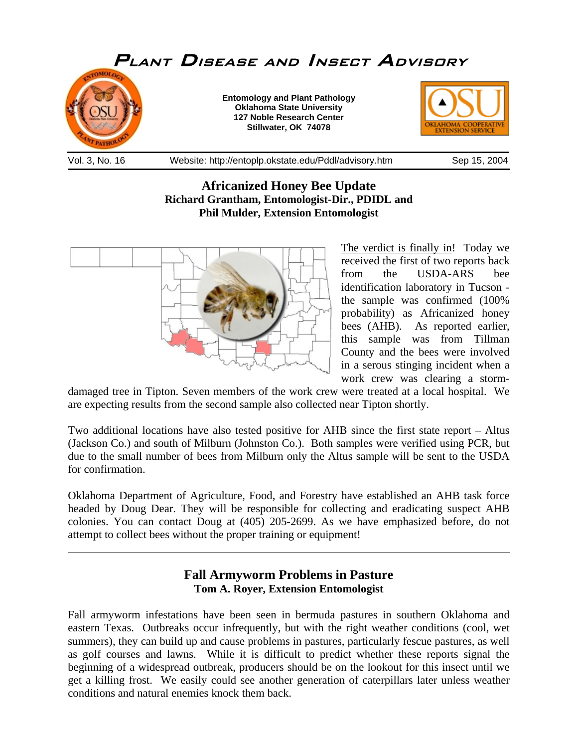

## **Africanized Honey Bee Update Richard Grantham, Entomologist-Dir., PDIDL and Phil Mulder, Extension Entomologist**



 $\overline{a}$ 

The verdict is finally in! Today we received the first of two reports back from the USDA-ARS bee identification laboratory in Tucson the sample was confirmed (100% probability) as Africanized honey bees (AHB). As reported earlier, this sample was from Tillman County and the bees were involved in a serous stinging incident when a work crew was clearing a storm-

damaged tree in Tipton. Seven members of the work crew were treated at a local hospital. We are expecting results from the second sample also collected near Tipton shortly.

Two additional locations have also tested positive for AHB since the first state report – Altus (Jackson Co.) and south of Milburn (Johnston Co.). Both samples were verified using PCR, but due to the small number of bees from Milburn only the Altus sample will be sent to the USDA for confirmation.

Oklahoma Department of Agriculture, Food, and Forestry have established an AHB task force headed by Doug Dear. They will be responsible for collecting and eradicating suspect AHB colonies. You can contact Doug at (405) 205-2699. As we have emphasized before, do not attempt to collect bees without the proper training or equipment!

## **Fall Armyworm Problems in Pasture Tom A. Royer, Extension Entomologist**

Fall armyworm infestations have been seen in bermuda pastures in southern Oklahoma and eastern Texas. Outbreaks occur infrequently, but with the right weather conditions (cool, wet summers), they can build up and cause problems in pastures, particularly fescue pastures, as well as golf courses and lawns. While it is difficult to predict whether these reports signal the beginning of a widespread outbreak, producers should be on the lookout for this insect until we get a killing frost. We easily could see another generation of caterpillars later unless weather conditions and natural enemies knock them back.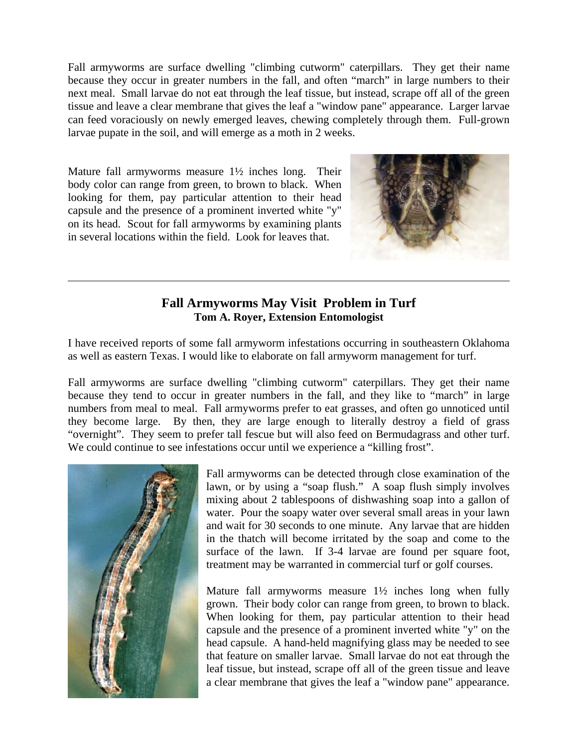Fall armyworms are surface dwelling "climbing cutworm" caterpillars. They get their name because they occur in greater numbers in the fall, and often "march" in large numbers to their next meal. Small larvae do not eat through the leaf tissue, but instead, scrape off all of the green tissue and leave a clear membrane that gives the leaf a "window pane" appearance. Larger larvae can feed voraciously on newly emerged leaves, chewing completely through them. Full-grown larvae pupate in the soil, and will emerge as a moth in 2 weeks.

Mature fall armyworms measure 1½ inches long. Their body color can range from green, to brown to black. When looking for them, pay particular attention to their head capsule and the presence of a prominent inverted white "y" on its head. Scout for fall armyworms by examining plants in several locations within the field. Look for leaves that.



## **Fall Armyworms May Visit Problem in Turf Tom A. Royer, Extension Entomologist**

I have received reports of some fall armyworm infestations occurring in southeastern Oklahoma as well as eastern Texas. I would like to elaborate on fall armyworm management for turf.

Fall armyworms are surface dwelling "climbing cutworm" caterpillars. They get their name because they tend to occur in greater numbers in the fall, and they like to "march" in large numbers from meal to meal. Fall armyworms prefer to eat grasses, and often go unnoticed until they become large. By then, they are large enough to literally destroy a field of grass "overnight". They seem to prefer tall fescue but will also feed on Bermudagrass and other turf. We could continue to see infestations occur until we experience a "killing frost".



l

Fall armyworms can be detected through close examination of the lawn, or by using a "soap flush." A soap flush simply involves mixing about 2 tablespoons of dishwashing soap into a gallon of water. Pour the soapy water over several small areas in your lawn and wait for 30 seconds to one minute. Any larvae that are hidden in the thatch will become irritated by the soap and come to the surface of the lawn. If 3-4 larvae are found per square foot, treatment may be warranted in commercial turf or golf courses.

Mature fall armyworms measure  $1\frac{1}{2}$  inches long when fully grown. Their body color can range from green, to brown to black. When looking for them, pay particular attention to their head capsule and the presence of a prominent inverted white "y" on the head capsule. A hand-held magnifying glass may be needed to see that feature on smaller larvae. Small larvae do not eat through the leaf tissue, but instead, scrape off all of the green tissue and leave a clear membrane that gives the leaf a "window pane" appearance.